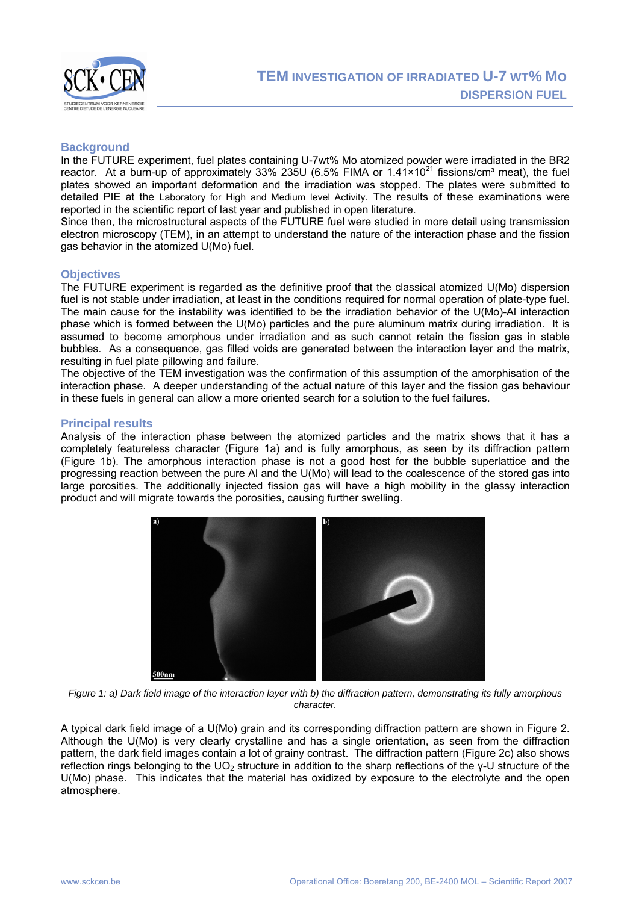

### **Background**

In the FUTURE experiment, fuel plates containing U-7wt% Mo atomized powder were irradiated in the BR2 reactor. At a burn-up of approximately 33% 235U (6.5% FIMA or  $1.41 \times 10^{21}$  fissions/cm<sup>3</sup> meat), the fuel plates showed an important deformation and the irradiation was stopped. The plates were submitted to detailed PIE at the Laboratory for High and Medium level Activity. The results of these examinations were reported in the scientific report of last year and published in open literature.

Since then, the microstructural aspects of the FUTURE fuel were studied in more detail using transmission electron microscopy (TEM), in an attempt to understand the nature of the interaction phase and the fission gas behavior in the atomized U(Mo) fuel.

# **Objectives**

The FUTURE experiment is regarded as the definitive proof that the classical atomized U(Mo) dispersion fuel is not stable under irradiation, at least in the conditions required for normal operation of plate-type fuel. The main cause for the instability was identified to be the irradiation behavior of the U(Mo)-Al interaction phase which is formed between the U(Mo) particles and the pure aluminum matrix during irradiation. It is assumed to become amorphous under irradiation and as such cannot retain the fission gas in stable bubbles. As a consequence, gas filled voids are generated between the interaction layer and the matrix, resulting in fuel plate pillowing and failure.

The objective of the TEM investigation was the confirmation of this assumption of the amorphisation of the interaction phase. A deeper understanding of the actual nature of this layer and the fission gas behaviour in these fuels in general can allow a more oriented search for a solution to the fuel failures.

# **Principal results**

Analysis of the interaction phase between the atomized particles and the matrix shows that it has a completely featureless character (Figure 1a) and is fully amorphous, as seen by its diffraction pattern (Figure 1b). The amorphous interaction phase is not a good host for the bubble superlattice and the progressing reaction between the pure Al and the U(Mo) will lead to the coalescence of the stored gas into large porosities. The additionally injected fission gas will have a high mobility in the glassy interaction product and will migrate towards the porosities, causing further swelling.



*Figure 1: a) Dark field image of the interaction layer with b) the diffraction pattern, demonstrating its fully amorphous character.* 

A typical dark field image of a U(Mo) grain and its corresponding diffraction pattern are shown in Figure 2. Although the U(Mo) is very clearly crystalline and has a single orientation, as seen from the diffraction pattern, the dark field images contain a lot of grainy contrast. The diffraction pattern (Figure 2c) also shows reflection rings belonging to the UO<sub>2</sub> structure in addition to the sharp reflections of the γ-U structure of the U(Mo) phase. This indicates that the material has oxidized by exposure to the electrolyte and the open atmosphere.